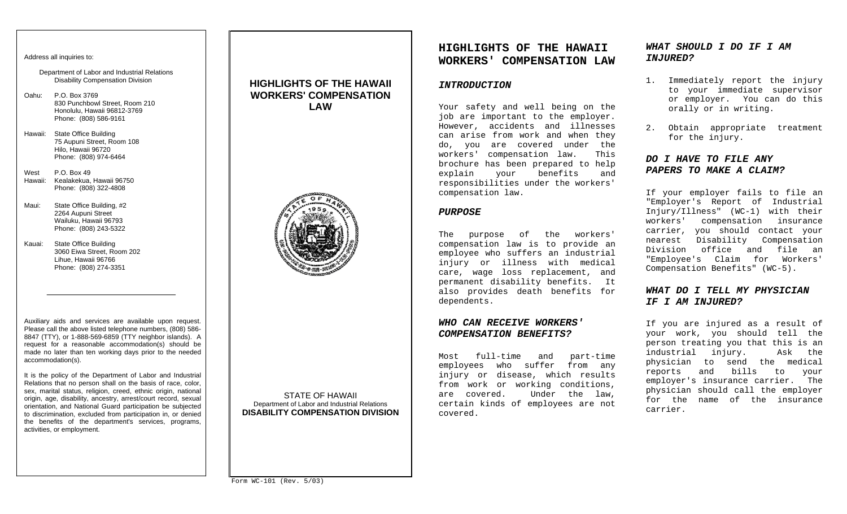#### Address all inquiries to:

Department of Labor and Industrial Relations Disability Compensation Division

- Oahu: P.O. Box 3769 830 Punchbowl Street, Room 210 Honolulu, Hawaii 96812-3769 Phone: (808) 586-9161
- Hawaii: State Office Building 75 Aupuni Street, Room 108 Hilo, Hawaii 96720 Phone: (808) 974-6464
- West P.O. Box 49 Hawaii: Kealakekua, Hawaii 96750 Phone: (808) 322-4808
- Maui: State Office Building, #2 2264 Aupuni Street Wailuku, Hawaii 96793 Phone: (808) 243-5322
- Kauai: State Office Building 3060 Eiwa Street, Room 202 Lihue, Hawaii 96766 Phone: (808) 274-3351

Auxiliary aids and services are available upon request. Please call the above listed telephone numbers, (808) 586- 8847 (TTY), or 1-888-569-6859 (TTY neighbor islands). A request for a reasonable accommodation(s) should be made no later than ten working days prior to the needed accommodation(s).

It is the policy of the Department of Labor and Industrial Relations that no person shall on the basis of race, color, sex, marital status, religion, creed, ethnic origin, national origin, age, disability, ancestry, arrest/court record, sexual orientation, and National Guard participation be subjected to discrimination, excluded from participation in, or denied the benefits of the department's services, programs, activities, or employment.

## **HIGHLIGHTS OF THE HAWAII WORKERS' COMPENSATION LAW**



STATE OF HAWAII Department of Labor and Industrial Relations **DISABILITY COMPENSATION DIVISION** 

# **HIGHLIGHTS OF THE HAWAII WORKERS' COMPENSATION LAW**

### *INTRODUCTION*

Your safety and well being on the job are important to the employer. However, accidents and illnesses can arise from work and when they do, you are covered under the workers' compensation law. This brochure has been prepared to help explain your benefits and responsibilities under the workers' compensation law.

#### *PURPOSE*

The purpose of the workers' compensation law is to provide an employee who suffers an industrial injury or illness with medical care, wage loss replacement, and permanent disability benefits. It also provides death benefits for dependents.

### *WHO CAN RECEIVE WORKERS' COMPENSATION BENEFITS?*

Most full-time and part-time employees who suffer from any injury or disease, which results from work or working conditions, are covered. Under the law, certain kinds of employees are not covered.

## *WHAT SHOULD I DO IF I AM INJURED?*

- 1. Immediately report the injury to your immediate supervisor or employer. You can do this orally or in writing.
- 2. Obtain appropriate treatment for the injury.

### *DO I HAVE TO FILE ANY PAPERS TO MAKE A CLAIM?*

If your employer fails to file an "Employer's Report of Industrial Injury/Illness" (WC-1) with their workers' compensation insurance carrier, you should contact your nearest Disability Compensation Division office and file an"Employee's Claim for Workers' Compensation Benefits" (WC-5).

## *WHAT DO I TELL MY PHYSICIAN IF I AM INJURED?*

If you are injured as a result of your work, you should tell the person treating you that this is an industrial injury. Ask the physician to send the medical reports and bills to your employer's insurance carrier. The physician should call the employer for the name of the insurance carrier.

Form WC-101 (Rev. 5/03)